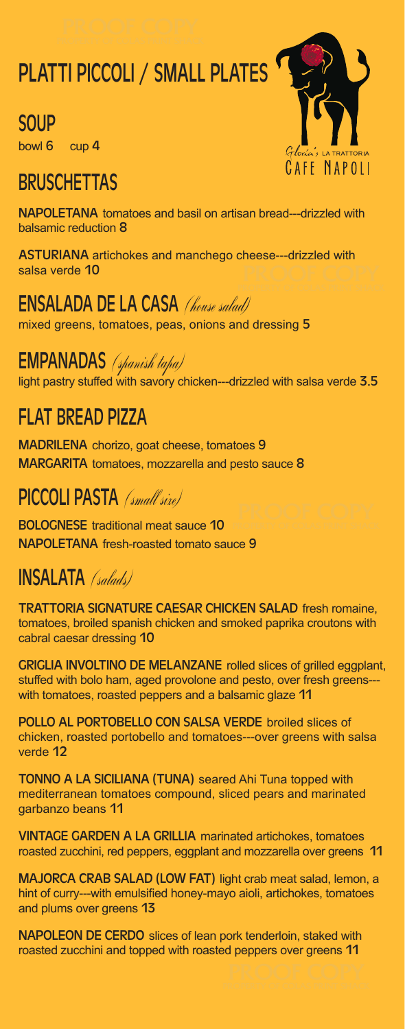# PLATTI PICCOLI / SMALL PLATES

### **SOUP**

bowl 6 cup 4

# **BRUSCHETTAS**

CAFF NAPOLI

NAPOLETANA tomatoes and basil on artisan bread---drizzled with balsamic reduction 8

ASTURIANA artichokes and manchego cheese---drizzled with salsa verde 10

#### ENSALADA DE LA CASA (house salad)

mixed greens, tomatoes, peas, onions and dressing 5

#### EMPANADAS (spanish tapa)

light pastry stuffed with savory chicken---drizzled with salsa verde  $3.5$ 

# FLAT BREAD PIZZA

MADRILENA chorizo, goat cheese, tomatoes 9 MARGARITA tomatoes, mozzarella and pesto sauce 8

#### PICCOLI PASTA (small size)

BOLOGNESE traditional meat sauce 10 NAPOLETANA fresh-roasted tomato sauce 9

# INSALATA (salads)

TRATTORIA SIGNATURE CAESAR CHICKEN SALAD fresh romaine, tomatoes, broiled spanish chicken and smoked paprika croutons with cabral caesar dressing 10

GRIGLIA INVOLTINO DE MELANZANE rolled slices of grilled eggplant, stuffed with bolo ham, aged provolone and pesto, over fresh greens-- with tomatoes, roasted peppers and a balsamic glaze 11

POLLO AL PORTOBELLO CON SALSA VERDE broiled slices of chicken, roasted portobello and tomatoes---over greens with salsa verde 12

TONNO A LA SICILIANA (TUNA) seared Ahi Tuna topped with mediterranean tomatoes compound, sliced pears and marinated garbanzo beans 11

VINTAGE GARDEN A LA GRILLIA marinated artichokes, tomatoes roasted zucchini, red peppers, eggplant and mozzarella over greens 11

MAJORCA CRAB SALAD (LOW FAT) light crab meat salad, lemon, a hint of curry---with emulsified honey-mayo aioli, artichokes, tomatoes and plums over greens 13

NAPOLEON DE CERDO slices of lean pork tenderloin, staked with roasted zucchini and topped with roasted peppers over greens 11